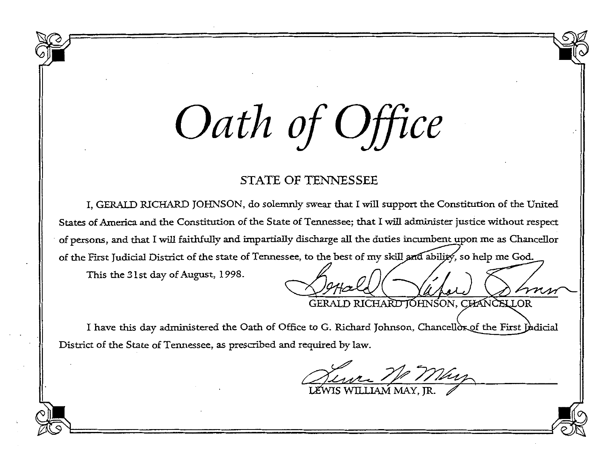## *Oath of Office*

## STATE OF TENNESSEE

I, GERALD *RlCHARD* JOHNSON, do solemnly swear that I will support the Constitution of the United States of America and the Constitution of the State of Tennessee; that I will administer justice without respect of persons, and that I will faithfully and impartially discharge all the duties incumbent upon me as Chancellor of the First Judicial District of the state of Tennessee, to the best of my skill and ability, so help me God.

This the 31st day of August, 1998.

GERALD RICHARD JOHNSON, CHANCELLOR

I have this day administered the Oath of Office to G. Richard Johnson, Chancellor of the First Judicial District of the State of Tennessee, as prescribed and required by law.

UEWIS WILLIAM MAY, JR.